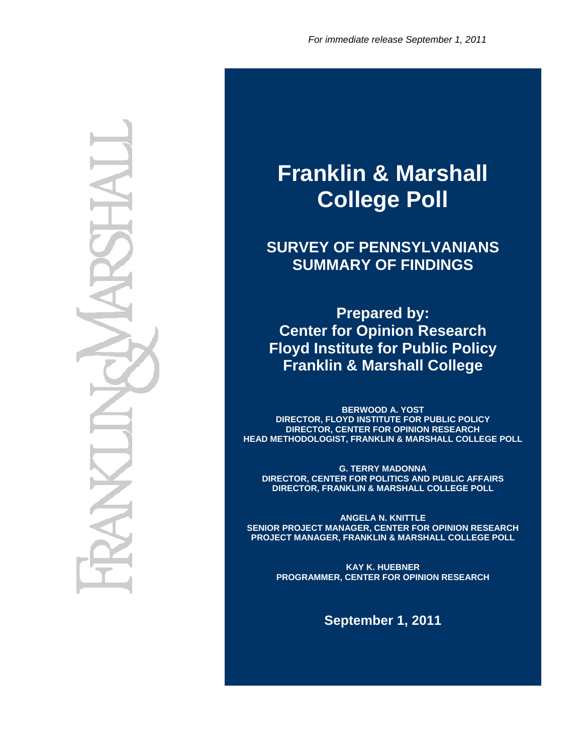# **Franklin & Marshall College Poll**

**SURVEY OF PENNSYLVANIANS SUMMARY OF FINDINGS** 

**Prepared by: Center for Opinion Research Floyd Institute for Public Policy Franklin & Marshall College** 

**BERWOOD A. YOST DIRECTOR, FLOYD INSTITUTE FOR PUBLIC POLICY DIRECTOR, CENTER FOR OPINION RESEARCH HEAD METHODOLOGIST, FRANKLIN & MARSHALL COLLEGE POLL** 

**G. TERRY MADONNA DIRECTOR, CENTER FOR POLITICS AND PUBLIC AFFAIRS DIRECTOR, FRANKLIN & MARSHALL COLLEGE POLL** 

**ANGELA N. KNITTLE SENIOR PROJECT MANAGER, CENTER FOR OPINION RESEARCH PROJECT MANAGER, FRANKLIN & MARSHALL COLLEGE POLL** 

> **KAY K. HUEBNER PROGRAMMER, CENTER FOR OPINION RESEARCH**

> > **September 1, 2011**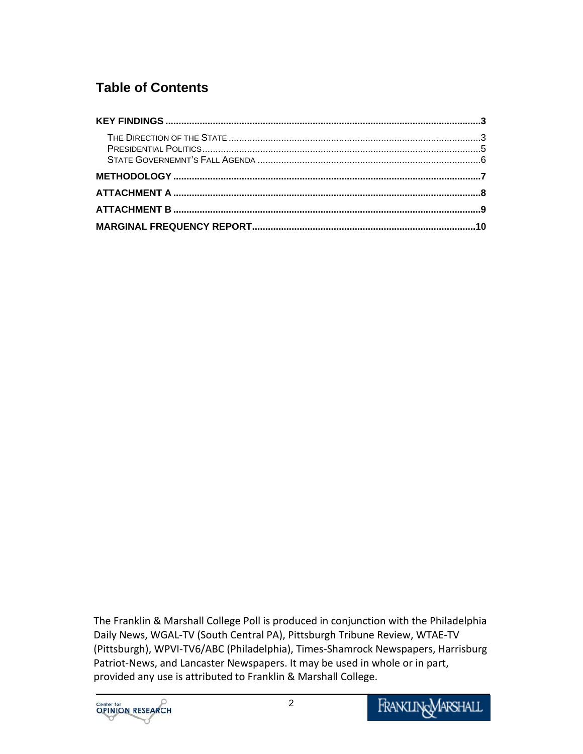## **Table of Contents**

| 10 |
|----|

The Franklin & Marshall College Poll is produced in conjunction with the Philadelphia Daily News, WGAL‐TV (South Central PA), Pittsburgh Tribune Review, WTAE‐TV (Pittsburgh), WPVI‐TV6/ABC (Philadelphia), Times‐Shamrock Newspapers, Harrisburg Patriot‐News, and Lancaster Newspapers. It may be used in whole or in part, provided any use is attributed to Franklin & Marshall College.

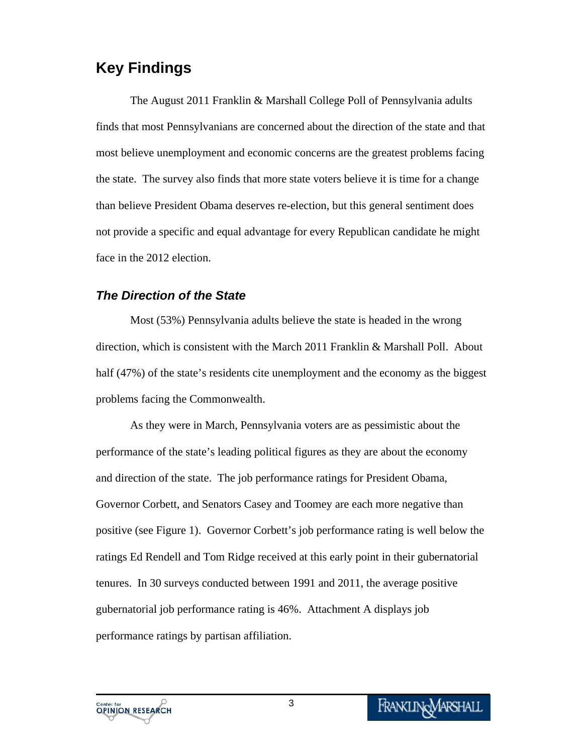## **Key Findings**

The August 2011 Franklin & Marshall College Poll of Pennsylvania adults finds that most Pennsylvanians are concerned about the direction of the state and that most believe unemployment and economic concerns are the greatest problems facing the state. The survey also finds that more state voters believe it is time for a change than believe President Obama deserves re-election, but this general sentiment does not provide a specific and equal advantage for every Republican candidate he might face in the 2012 election.

#### *The Direction of the State*

Most (53%) Pennsylvania adults believe the state is headed in the wrong direction, which is consistent with the March 2011 Franklin & Marshall Poll. About half (47%) of the state's residents cite unemployment and the economy as the biggest problems facing the Commonwealth.

As they were in March, Pennsylvania voters are as pessimistic about the performance of the state's leading political figures as they are about the economy and direction of the state. The job performance ratings for President Obama, Governor Corbett, and Senators Casey and Toomey are each more negative than positive (see Figure 1). Governor Corbett's job performance rating is well below the ratings Ed Rendell and Tom Ridge received at this early point in their gubernatorial tenures. In 30 surveys conducted between 1991 and 2011, the average positive gubernatorial job performance rating is 46%. Attachment A displays job performance ratings by partisan affiliation.

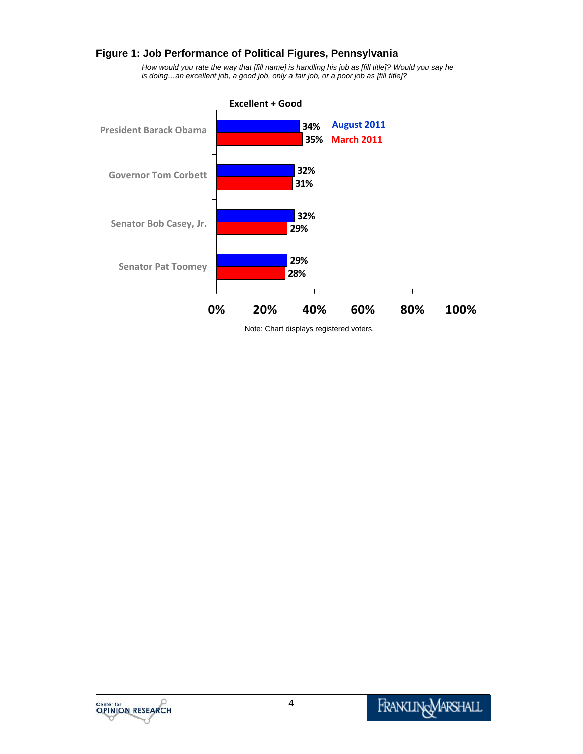#### **Figure 1: Job Performance of Political Figures, Pennsylvania**

*How would you rate the way that [fill name] is handling his job as [fill title]? Would you say he is doing…an excellent job, a good job, only a fair job, or a poor job as [fill title]?* 



Note: Chart displays registered voters.

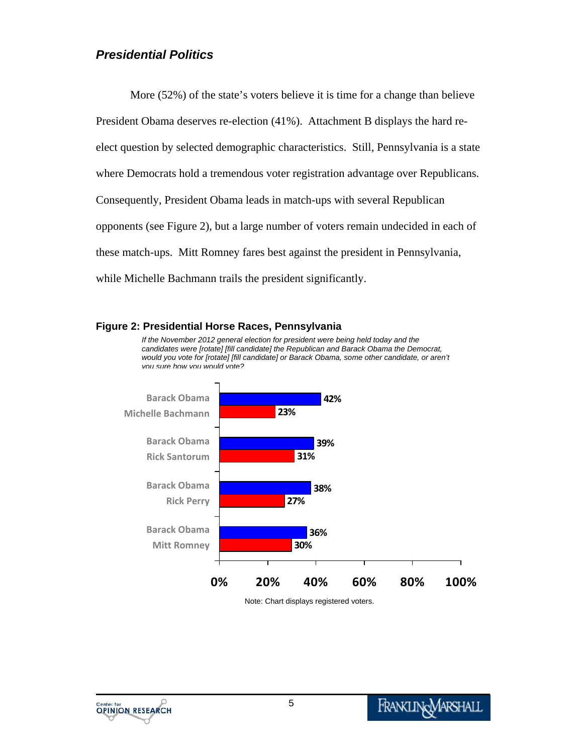#### *Presidential Politics*

More (52%) of the state's voters believe it is time for a change than believe President Obama deserves re-election (41%). Attachment B displays the hard reelect question by selected demographic characteristics. Still, Pennsylvania is a state where Democrats hold a tremendous voter registration advantage over Republicans. Consequently, President Obama leads in match-ups with several Republican opponents (see Figure 2), but a large number of voters remain undecided in each of these match-ups. Mitt Romney fares best against the president in Pennsylvania, while Michelle Bachmann trails the president significantly.

#### **Figure 2: Presidential Horse Races, Pennsylvania**

*If the November 2012 general election for president were being held today and the candidates were [rotate] [fill candidate] the Republican and Barack Obama the Democrat, would you vote for [rotate] [fill candidate] or Barack Obama, some other candidate, or aren't you sure how you would vote?*



Note: Chart displays registered voters.

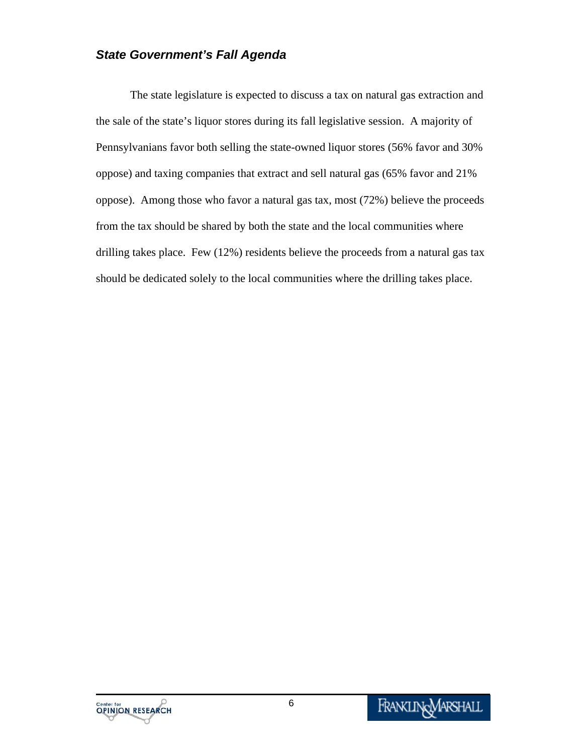#### *State Government's Fall Agenda*

The state legislature is expected to discuss a tax on natural gas extraction and the sale of the state's liquor stores during its fall legislative session. A majority of Pennsylvanians favor both selling the state-owned liquor stores (56% favor and 30% oppose) and taxing companies that extract and sell natural gas (65% favor and 21% oppose). Among those who favor a natural gas tax, most (72%) believe the proceeds from the tax should be shared by both the state and the local communities where drilling takes place. Few (12%) residents believe the proceeds from a natural gas tax should be dedicated solely to the local communities where the drilling takes place.

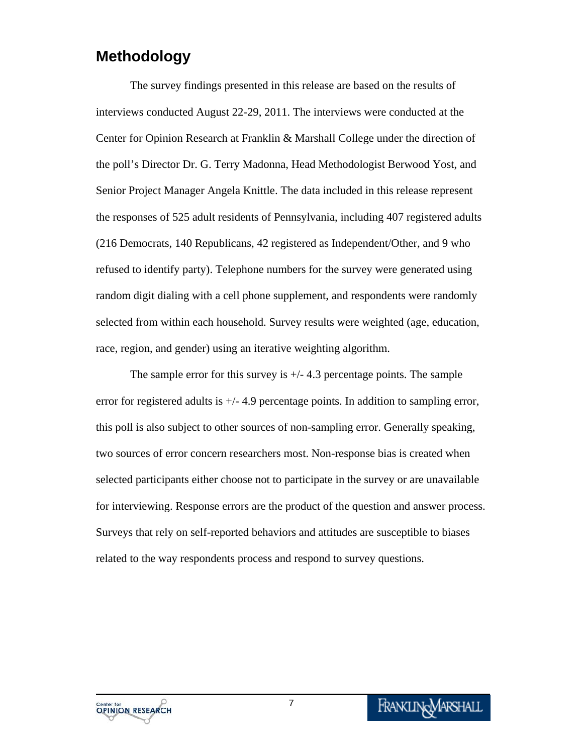### **Methodology**

The survey findings presented in this release are based on the results of interviews conducted August 22-29, 2011. The interviews were conducted at the Center for Opinion Research at Franklin & Marshall College under the direction of the poll's Director Dr. G. Terry Madonna, Head Methodologist Berwood Yost, and Senior Project Manager Angela Knittle. The data included in this release represent the responses of 525 adult residents of Pennsylvania, including 407 registered adults (216 Democrats, 140 Republicans, 42 registered as Independent/Other, and 9 who refused to identify party). Telephone numbers for the survey were generated using random digit dialing with a cell phone supplement, and respondents were randomly selected from within each household. Survey results were weighted (age, education, race, region, and gender) using an iterative weighting algorithm.

The sample error for this survey is  $+/- 4.3$  percentage points. The sample error for registered adults is  $+/- 4.9$  percentage points. In addition to sampling error, this poll is also subject to other sources of non-sampling error. Generally speaking, two sources of error concern researchers most. Non-response bias is created when selected participants either choose not to participate in the survey or are unavailable for interviewing. Response errors are the product of the question and answer process. Surveys that rely on self-reported behaviors and attitudes are susceptible to biases related to the way respondents process and respond to survey questions.

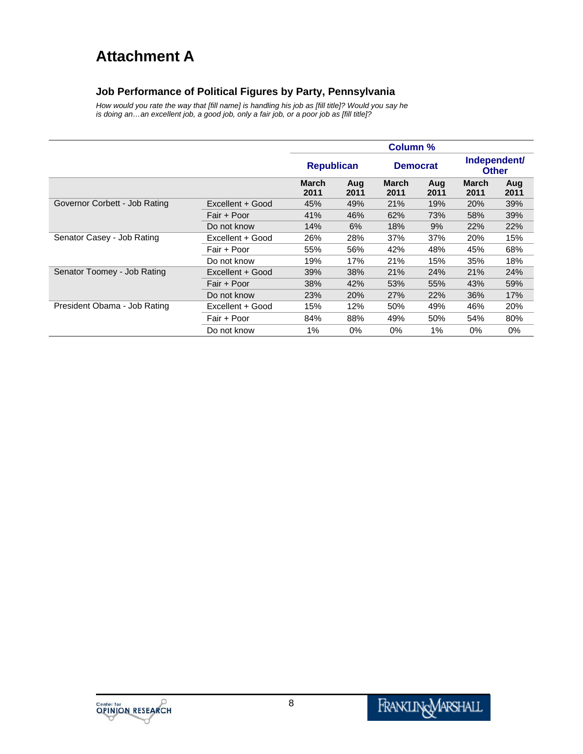## **Attachment A**

#### **Job Performance of Political Figures by Party, Pennsylvania**

*How would you rate the way that [fill name] is handling his job as [fill title]? Would you say he is doing an…an excellent job, a good job, only a fair job, or a poor job as [fill title]?* 

|                                                  |                  | <b>Column %</b>      |             |                      |             |                              |             |
|--------------------------------------------------|------------------|----------------------|-------------|----------------------|-------------|------------------------------|-------------|
|                                                  |                  | <b>Republican</b>    |             | <b>Democrat</b>      |             | Independent/<br><b>Other</b> |             |
|                                                  |                  | <b>March</b><br>2011 | Aug<br>2011 | <b>March</b><br>2011 | Aug<br>2011 | <b>March</b><br>2011         | Aug<br>2011 |
| Governor Corbett - Job Rating                    | Excellent + Good | 45%                  | 49%         | 21%                  | 19%         | 20%                          | 39%         |
|                                                  | Fair + Poor      | 41%                  | 46%         | 62%                  | 73%         | 58%                          | 39%         |
|                                                  | Do not know      | 14%                  | 6%          | 18%                  | 9%          | 22%                          | 22%         |
| Senator Casey - Job Rating                       | Excellent + Good | 26%                  | 28%         | 37%                  | 37%         | 20%                          | 15%         |
|                                                  | Fair + Poor      | 55%                  | 56%         | 42%                  | 48%         | 45%                          | 68%         |
|                                                  | Do not know      | 19%                  | 17%         | 21%                  | 15%         | 35%                          | 18%         |
| Senator Toomey - Job Rating                      | Excellent + Good | 39%                  | 38%         | 21%                  | 24%         | 21%                          | 24%         |
|                                                  | Fair + Poor      | 38%                  | 42%         | 53%                  | 55%         | 43%                          | 59%         |
|                                                  | Do not know      | 23%                  | 20%         | 27%                  | 22%         | 36%                          | 17%         |
| President Obama - Job Rating<br>Excellent + Good |                  | 15%                  | 12%         | 50%                  | 49%         | 46%                          | 20%         |
|                                                  | Fair + Poor      | 84%                  | 88%         | 49%                  | 50%         | 54%                          | 80%         |
|                                                  | Do not know      | 1%                   | $0\%$       | 0%                   | 1%          | 0%                           | $0\%$       |

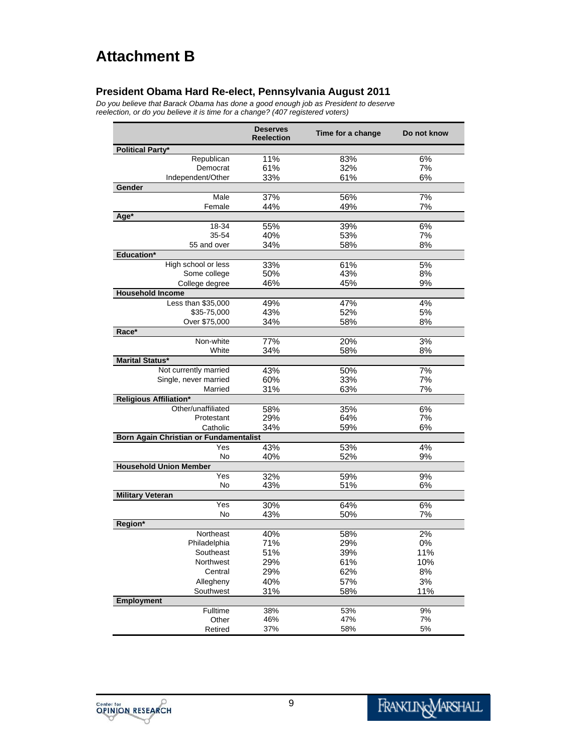## **Attachment B**

#### **President Obama Hard Re-elect, Pennsylvania August 2011**

*Do you believe that Barack Obama has done a good enough job as President to deserve reelection, or do you believe it is time for a change? (407 registered voters)*

|                                                     | <b>Deserves</b><br><b>Reelection</b> | Time for a change | Do not know |
|-----------------------------------------------------|--------------------------------------|-------------------|-------------|
| <b>Political Party*</b>                             |                                      |                   |             |
| Republican                                          | 11%                                  | 83%               | 6%          |
| Democrat                                            | 61%                                  | 32%               | 7%          |
| Independent/Other                                   | 33%                                  | 61%               | 6%          |
| Gender                                              |                                      |                   |             |
| Male                                                | 37%                                  | 56%               | 7%          |
| Female                                              | 44%                                  | 49%               | 7%          |
| Age*                                                |                                      |                   |             |
| 18-34                                               | 55%                                  | 39%               | 6%          |
| 35-54                                               | 40%                                  | 53%               | 7%          |
| 55 and over                                         | 34%                                  | 58%               | 8%          |
| Education*                                          |                                      |                   |             |
| High school or less                                 | 33%                                  | 61%               | 5%          |
| Some college                                        | 50%                                  | 43%               | 8%          |
| College degree                                      | 46%                                  | 45%               | 9%          |
| <b>Household Income</b>                             |                                      |                   |             |
| Less than \$35,000                                  | 49%                                  | 47%               | 4%          |
| \$35-75,000                                         | 43%                                  | 52%               | 5%          |
| Over \$75,000                                       | 34%                                  | 58%               | 8%          |
| Race*                                               |                                      |                   |             |
| Non-white                                           | 77%                                  | 20%               | 3%          |
| White                                               | 34%                                  | 58%               | 8%          |
| <b>Marital Status*</b>                              |                                      |                   |             |
| Not currently married                               | 43%                                  | 50%               | 7%          |
| Single, never married                               | 60%                                  | 33%               | 7%          |
| Married                                             | 31%                                  | 63%               | 7%          |
| <b>Religious Affiliation*</b><br>Other/unaffiliated |                                      |                   |             |
| Protestant                                          | 58%<br>29%                           | 35%<br>64%        | 6%          |
| Catholic                                            |                                      |                   | 7%          |
|                                                     | 34%                                  | 59%               | 6%          |
| Born Again Christian or Fundamentalist<br>Yes       |                                      |                   |             |
| No                                                  | 43%<br>40%                           | 53%<br>52%        | 4%<br>9%    |
| <b>Household Union Member</b>                       |                                      |                   |             |
| Yes                                                 | 32%                                  | 59%               | 9%          |
| No                                                  | 43%                                  | 51%               | 6%          |
| <b>Military Veteran</b>                             |                                      |                   |             |
| Yes                                                 | 30%                                  | 64%               | 6%          |
| No                                                  | 43%                                  | 50%               | 7%          |
| Region*                                             |                                      |                   |             |
| Northeast                                           | 40%                                  | 58%               | 2%          |
| Philadelphia                                        | 71%                                  | 29%               | 0%          |
| Southeast                                           | 51%                                  | 39%               | 11%         |
| Northwest                                           | 29%                                  | 61%               | 10%         |
| Central                                             | 29%                                  | 62%               | $8%$        |
| Allegheny                                           | 40%                                  | 57%               | 3%          |
| Southwest                                           | 31%                                  | 58%               | 11%         |
| <b>Employment</b>                                   |                                      |                   |             |
| Fulltime                                            | 38%                                  | 53%               | 9%          |
| Other                                               | 46%                                  | 47%               | 7%          |
| Retired                                             | 37%                                  | 58%               | 5%          |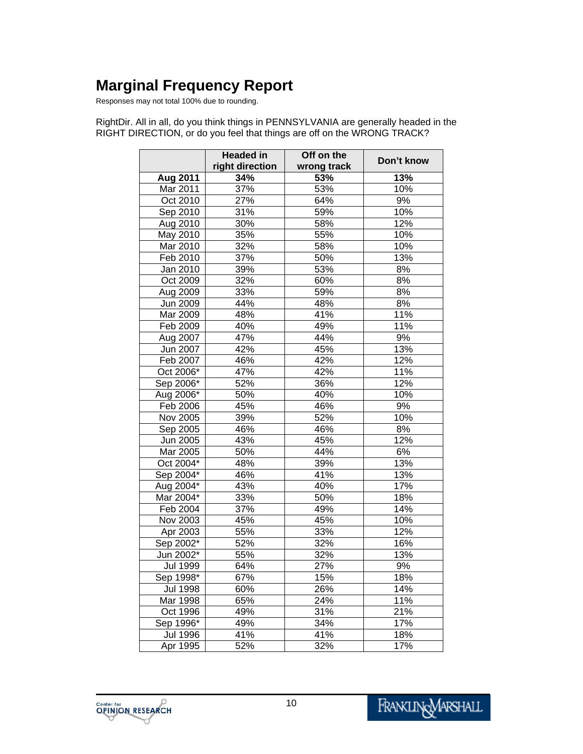# **Marginal Frequency Report**

Responses may not total 100% due to rounding.

RightDir. All in all, do you think things in PENNSYLVANIA are generally headed in the RIGHT DIRECTION, or do you feel that things are off on the WRONG TRACK?

|                 | <b>Headed in</b><br>right direction | Off on the<br>wrong track | Don't know        |
|-----------------|-------------------------------------|---------------------------|-------------------|
| <b>Aug 2011</b> | 34%                                 | 53%                       | 13%               |
| Mar 2011        | 37%                                 | 53%                       | 10%               |
| Oct 2010        | 27%                                 | 64%                       | 9%                |
| Sep 2010        | 31%                                 | 59%                       | 10%               |
| Aug 2010        | 30%                                 | 58%                       | 12%               |
| May 2010        | 35%                                 | 55%                       | 10%               |
| Mar 2010        | 32%                                 | 58%                       | 10%               |
| Feb 2010        | 37%                                 | 50%                       | 13%               |
| Jan 2010        | 39%                                 | 53%                       | 8%                |
| Oct 2009        | 32%                                 | 60%                       | 8%                |
| Aug 2009        | 33%                                 | 59%                       | 8%                |
| Jun 2009        | 44%                                 | 48%                       | 8%                |
| Mar 2009        | 48%                                 | 41%                       | 11%               |
| Feb 2009        | 40%                                 | 49%                       | 11%               |
| Aug 2007        | 47%                                 | 44%                       | 9%                |
| Jun 2007        | 42%                                 | 45%                       | 13%               |
| Feb 2007        | 46%                                 | 42%                       | 12%               |
| Oct 2006*       | 47%                                 | $\overline{42\%}$         | 11%               |
|                 |                                     |                           |                   |
| Sep 2006*       | 52%                                 | 36%                       | $\overline{12}\%$ |
| Aug 2006*       | 50%                                 | 40%                       | 10%               |
| Feb 2006        | 45%                                 | 46%                       | 9%                |
| Nov 2005        | 39%                                 | 52%                       | 10%               |
| Sep 2005        | 46%                                 | 46%                       | 8%                |
| Jun 2005        | 43%                                 | 45%                       | 12%               |
| Mar 2005        | 50%                                 | 44%                       | 6%                |
| Oct 2004*       | 48%                                 | 39%                       | 13%               |
| Sep 2004*       | 46%                                 | 41%                       | 13%               |
| Aug 2004*       | 43%                                 | 40%                       | 17%               |
| Mar 2004*       | 33%                                 | 50%                       | 18%               |
| Feb 2004        | 37%                                 | 49%                       | 14%               |
| Nov 2003        | 45%                                 | 45%                       | 10%               |
| Apr 2003        | 55%                                 | 33%                       | $\overline{12}\%$ |
| Sep 2002*       | 52%                                 | 32%                       | 16%               |
| Jun 2002*       | 55%                                 | 32%                       | 13%               |
| <b>Jul 1999</b> | 64%                                 | 27%                       | 9%                |
| Sep 1998*       | 67%                                 | 15%                       | 18%               |
| <b>Jul 1998</b> | 60%                                 | 26%                       | 14%               |
| Mar 1998        | 65%                                 | 24%                       | 11%               |
| Oct 1996        | 49%                                 | 31%                       | 21%               |
| Sep 1996*       | 49%                                 | 34%                       | 17%               |
| <b>Jul 1996</b> | 41%                                 | 41%                       | 18%               |
| Apr 1995        | 52%                                 | 32%                       | 17%               |

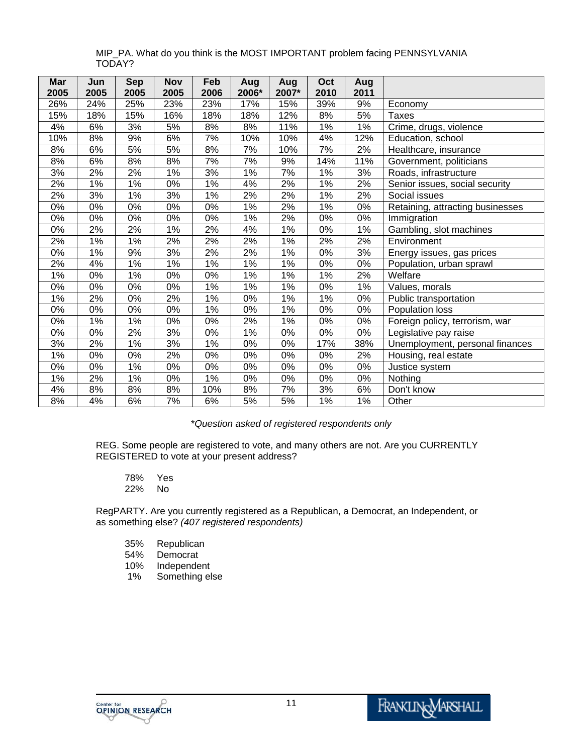| Mar   | Jun   | <b>Sep</b> | <b>Nov</b> | Feb   | Aug              | Aug   | Oct   | Aug   |                                  |
|-------|-------|------------|------------|-------|------------------|-------|-------|-------|----------------------------------|
| 2005  | 2005  | 2005       | 2005       | 2006  | 2006*            | 2007* | 2010  | 2011  |                                  |
| 26%   | 24%   | 25%        | 23%        | 23%   | 17%              | 15%   | 39%   | 9%    | Economy                          |
| 15%   | 18%   | 15%        | 16%        | 18%   | 18%              | 12%   | 8%    | 5%    | <b>Taxes</b>                     |
| 4%    | 6%    | 3%         | 5%         | 8%    | 8%               | 11%   | 1%    | 1%    | Crime, drugs, violence           |
| 10%   | 8%    | 9%         | 6%         | 7%    | 10%              | 10%   | 4%    | 12%   | Education, school                |
| 8%    | 6%    | 5%         | 5%         | 8%    | 7%               | 10%   | 7%    | 2%    | Healthcare, insurance            |
| 8%    | 6%    | 8%         | 8%         | 7%    | $\overline{7\%}$ | 9%    | 14%   | 11%   | Government, politicians          |
| 3%    | 2%    | 2%         | 1%         | 3%    | 1%               | 7%    | 1%    | 3%    | Roads, infrastructure            |
| 2%    | $1\%$ | 1%         | $0\%$      | 1%    | 4%               | 2%    | 1%    | 2%    | Senior issues, social security   |
| 2%    | 3%    | 1%         | 3%         | $1\%$ | 2%               | 2%    | $1\%$ | 2%    | Social issues                    |
| 0%    | 0%    | 0%         | 0%         | 0%    | 1%               | 2%    | 1%    | 0%    | Retaining, attracting businesses |
| 0%    | 0%    | 0%         | 0%         | 0%    | 1%               | 2%    | 0%    | $0\%$ | Immigration                      |
| 0%    | 2%    | 2%         | $1\%$      | 2%    | 4%               | 1%    | 0%    | 1%    | Gambling, slot machines          |
| 2%    | $1\%$ | $1\%$      | 2%         | 2%    | 2%               | 1%    | 2%    | 2%    | Environment                      |
| $0\%$ | 1%    | 9%         | 3%         | 2%    | 2%               | $1\%$ | 0%    | 3%    | Energy issues, gas prices        |
| 2%    | 4%    | 1%         | 1%         | 1%    | 1%               | 1%    | 0%    | 0%    | Population, urban sprawl         |
| $1\%$ | $0\%$ | $1\%$      | 0%         | $0\%$ | $1\%$            | $1\%$ | $1\%$ | 2%    | Welfare                          |
| 0%    | 0%    | $0\%$      | 0%         | $1\%$ | 1%               | 1%    | $0\%$ | 1%    | Values, morals                   |
| $1\%$ | 2%    | 0%         | 2%         | 1%    | 0%               | 1%    | 1%    | 0%    | Public transportation            |
| 0%    | $0\%$ | $0\%$      | 0%         | 1%    | $0\%$            | 1%    | $0\%$ | $0\%$ | Population loss                  |
| 0%    | 1%    | 1%         | 0%         | 0%    | 2%               | 1%    | 0%    | 0%    | Foreign policy, terrorism, war   |
| $0\%$ | $0\%$ | 2%         | 3%         | 0%    | $1\%$            | $0\%$ | $0\%$ | $0\%$ | Legislative pay raise            |
| 3%    | 2%    | 1%         | 3%         | 1%    | 0%               | 0%    | 17%   | 38%   | Unemployment, personal finances  |
| 1%    | $0\%$ | 0%         | 2%         | 0%    | $0\%$            | $0\%$ | 0%    | 2%    | Housing, real estate             |
| 0%    | 0%    | 1%         | 0%         | 0%    | 0%               | 0%    | 0%    | $0\%$ | Justice system                   |
| 1%    | 2%    | 1%         | 0%         | 1%    | 0%               | 0%    | 0%    | 0%    | Nothing                          |
| 4%    | 8%    | 8%         | 8%         | 10%   | 8%               | 7%    | 3%    | 6%    | Don't know                       |
| 8%    | 4%    | 6%         | 7%         | 6%    | 5%               | 5%    | $1\%$ | 1%    | Other                            |

MIP\_PA. What do you think is the MOST IMPORTANT problem facing PENNSYLVANIA TODAY?

\**Question asked of registered respondents only*

REG. Some people are registered to vote, and many others are not. Are you CURRENTLY REGISTERED to vote at your present address?

- 78% Yes
- 22% No

RegPARTY. Are you currently registered as a Republican, a Democrat, an Independent, or as something else? *(407 registered respondents)*

- 35% Republican
- 54% Democrat<br>10% Independe
- 
- 10% Independent<br>1% Something el Something else

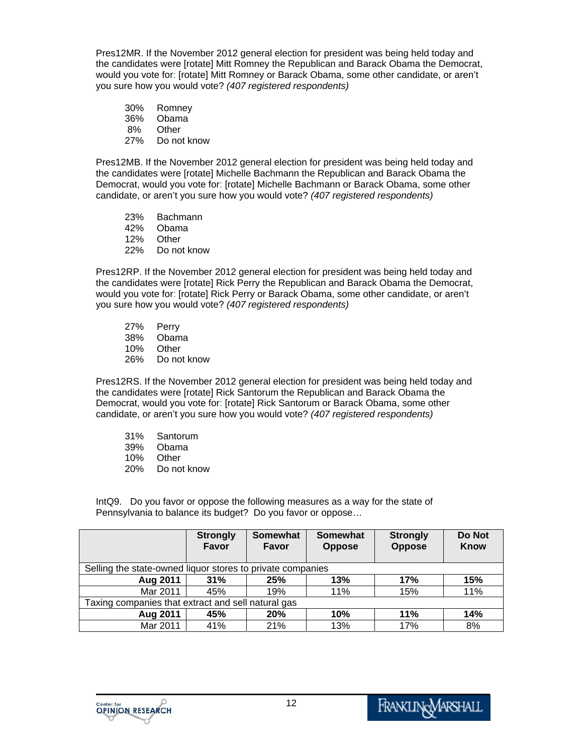Pres12MR. If the November 2012 general election for president was being held today and the candidates were [rotate] Mitt Romney the Republican and Barack Obama the Democrat, would you vote for: [rotate] Mitt Romney or Barack Obama, some other candidate, or aren't you sure how you would vote? *(407 registered respondents)* 

- 30% Romney
- 36% Obama
- 8% Other
- 27% Do not know

Pres12MB. If the November 2012 general election for president was being held today and the candidates were [rotate] Michelle Bachmann the Republican and Barack Obama the Democrat, would you vote for: [rotate] Michelle Bachmann or Barack Obama, some other candidate, or aren't you sure how you would vote? *(407 registered respondents)*

- 23% Bachmann
- 42% Obama
- 12% Other
- 22% Do not know

Pres12RP. If the November 2012 general election for president was being held today and the candidates were [rotate] Rick Perry the Republican and Barack Obama the Democrat, would you vote for: [rotate] Rick Perry or Barack Obama, some other candidate, or aren't you sure how you would vote? *(407 registered respondents)* 

- 27% Perry 38% Obama 10% Other
- 26% Do not know

Pres12RS. If the November 2012 general election for president was being held today and the candidates were [rotate] Rick Santorum the Republican and Barack Obama the Democrat, would you vote for: [rotate] Rick Santorum or Barack Obama, some other candidate, or aren't you sure how you would vote? *(407 registered respondents)* 

- 31% Santorum
- 39% Obama
- 10% Other
- 20% Do not know

IntQ9. Do you favor or oppose the following measures as a way for the state of Pennsylvania to balance its budget? Do you favor or oppose…

|                                                            | <b>Strongly</b><br><b>Favor</b>                    | <b>Somewhat</b><br>Favor | <b>Somewhat</b><br><b>Oppose</b> | <b>Strongly</b><br><b>Oppose</b> | Do Not<br>Know |  |  |  |  |
|------------------------------------------------------------|----------------------------------------------------|--------------------------|----------------------------------|----------------------------------|----------------|--|--|--|--|
| Selling the state-owned liquor stores to private companies |                                                    |                          |                                  |                                  |                |  |  |  |  |
| Aug 2011                                                   | 31%                                                | 25%                      | 13%                              | 17%                              | 15%            |  |  |  |  |
| Mar 2011                                                   | 45%                                                | 19%                      | 11%                              | 15%                              | 11%            |  |  |  |  |
|                                                            | Taxing companies that extract and sell natural gas |                          |                                  |                                  |                |  |  |  |  |
| Aug 2011                                                   | 45%                                                | <b>20%</b>               | 10%                              | 11%                              | 14%            |  |  |  |  |
| Mar 2011                                                   | 41%                                                | 21%                      | 13%                              | 17%                              | 8%             |  |  |  |  |

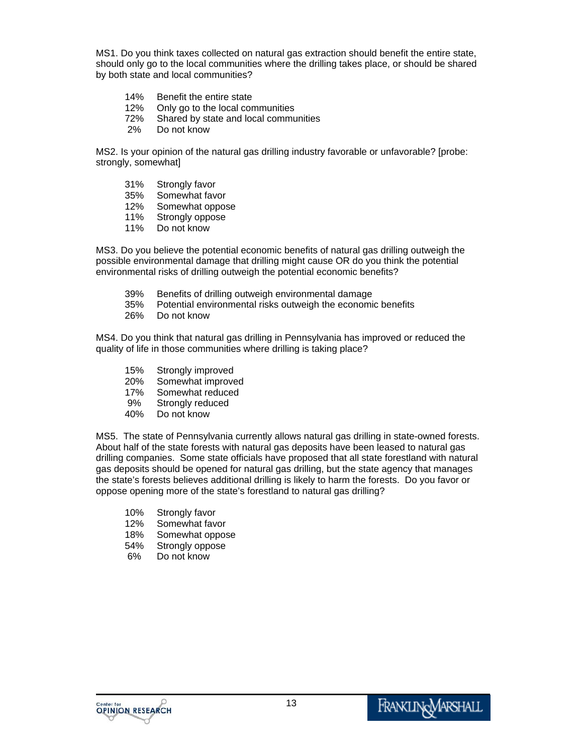MS1. Do you think taxes collected on natural gas extraction should benefit the entire state, should only go to the local communities where the drilling takes place, or should be shared by both state and local communities?

- 14% Benefit the entire state
- 12% Only go to the local communities
- 72% Shared by state and local communities
- 2% Do not know

MS2. Is your opinion of the natural gas drilling industry favorable or unfavorable? [probe: strongly, somewhat]

- 31% Strongly favor
- 35% Somewhat favor
- 12% Somewhat oppose
- 11% Strongly oppose
- 11% Do not know

MS3. Do you believe the potential economic benefits of natural gas drilling outweigh the possible environmental damage that drilling might cause OR do you think the potential environmental risks of drilling outweigh the potential economic benefits?

- 39% Benefits of drilling outweigh environmental damage
- 35% Potential environmental risks outweigh the economic benefits
- 26% Do not know

MS4. Do you think that natural gas drilling in Pennsylvania has improved or reduced the quality of life in those communities where drilling is taking place?

- 15% Strongly improved
- 20% Somewhat improved
- 17% Somewhat reduced
- 9% Strongly reduced
- 40% Do not know

MS5. The state of Pennsylvania currently allows natural gas drilling in state-owned forests. About half of the state forests with natural gas deposits have been leased to natural gas drilling companies. Some state officials have proposed that all state forestland with natural gas deposits should be opened for natural gas drilling, but the state agency that manages the state's forests believes additional drilling is likely to harm the forests. Do you favor or oppose opening more of the state's forestland to natural gas drilling?

- 10% Strongly favor
- 12% Somewhat favor
- 18% Somewhat oppose
- 54% Strongly oppose
- 6% Do not know

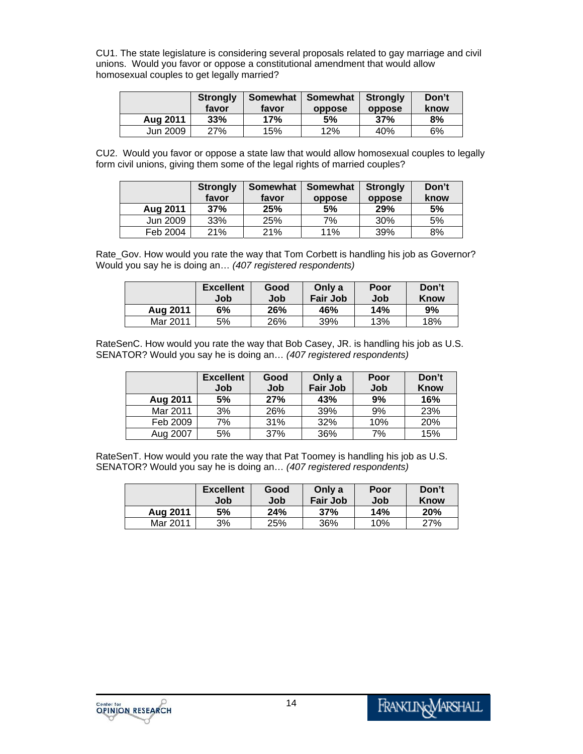CU1. The state legislature is considering several proposals related to gay marriage and civil unions. Would you favor or oppose a constitutional amendment that would allow homosexual couples to get legally married?

|          | <b>Strongly</b> | Somewhat | Somewhat | Strongly | Don't |
|----------|-----------------|----------|----------|----------|-------|
|          | favor           | favor    | oppose   | oppose   | know  |
| Aug 2011 | 33%             | 17%      | 5%       | 37%      | 8%    |
| Jun 2009 | 27%             | 15%      | 12%      | 40%      | 6%    |

CU2. Would you favor or oppose a state law that would allow homosexual couples to legally form civil unions, giving them some of the legal rights of married couples?

|          | <b>Strongly</b><br>favor | Somewhat<br>favor | Somewhat<br>oppose | <b>Strongly</b><br>oppose | Don't<br>know |
|----------|--------------------------|-------------------|--------------------|---------------------------|---------------|
| Aug 2011 | 37%                      | 25%               | 5%                 | 29%                       | 5%            |
| Jun 2009 | 33%                      | 25%               | 7%                 | 30%                       | 5%            |
| Feb 2004 | 21%                      | 21%               | 11%                | 39%                       | 8%            |

Rate\_Gov. How would you rate the way that Tom Corbett is handling his job as Governor? Would you say he is doing an… *(407 registered respondents)* 

|          | <b>Excellent</b><br>Job | Good<br>Job | Only a<br><b>Fair Job</b> | Poor<br>Job | Don't<br><b>Know</b> |
|----------|-------------------------|-------------|---------------------------|-------------|----------------------|
| Aug 2011 | 6%                      | 26%         | 46%                       | 14%         | 9%                   |
| Mar 2011 | 5%                      | 26%         | 39%                       | 13%         | 18%                  |

RateSenC. How would you rate the way that Bob Casey, JR. is handling his job as U.S. SENATOR? Would you say he is doing an… *(407 registered respondents)*

|          | <b>Excellent</b><br>Job | Good<br>Job | Only a<br><b>Fair Job</b> | Poor<br>Job | Don't<br>Know |
|----------|-------------------------|-------------|---------------------------|-------------|---------------|
| Aug 2011 | 5%                      | 27%         | 43%                       | 9%          | 16%           |
| Mar 2011 | 3%                      | 26%         | 39%                       | 9%          | 23%           |
| Feb 2009 | 7%                      | 31%         | 32%                       | 10%         | 20%           |
| Aug 2007 | 5%                      | 37%         | 36%                       | 7%          | 15%           |

RateSenT. How would you rate the way that Pat Toomey is handling his job as U.S. SENATOR? Would you say he is doing an… *(407 registered respondents)* 

|          | <b>Excellent</b><br>Job | Good<br>Job | Only a<br><b>Fair Job</b> | Poor<br>Job | Don't<br>Know |
|----------|-------------------------|-------------|---------------------------|-------------|---------------|
| Aug 2011 | 5%                      | 24%         | 37%                       | 14%         | 20%           |
| Mar 2011 | 3%                      | 25%         | 36%                       | 10%         | 27%           |

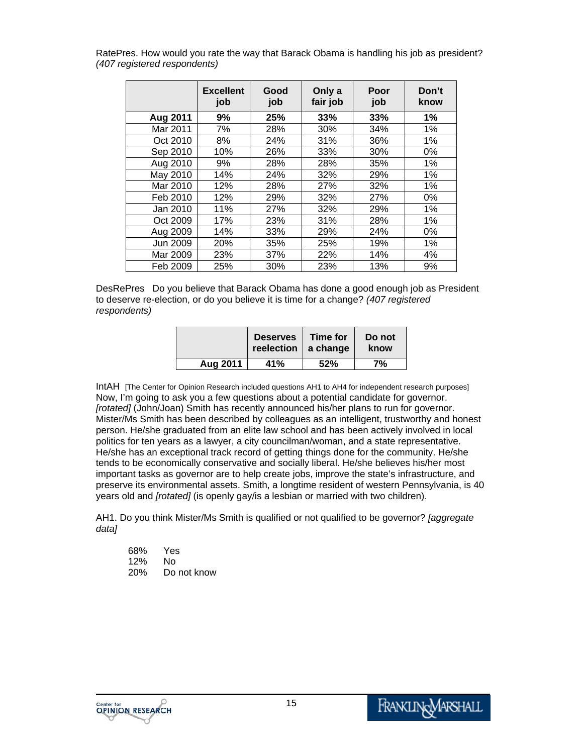RatePres. How would you rate the way that Barack Obama is handling his job as president? *(407 registered respondents)* 

|          | <b>Excellent</b><br>job | Good<br>job | Only a<br>fair job | Poor<br>job | Don't<br>know |
|----------|-------------------------|-------------|--------------------|-------------|---------------|
| Aug 2011 | 9%                      | 25%         | 33%                | 33%         | $1\%$         |
| Mar 2011 | 7%                      | 28%         | 30%                | 34%         | 1%            |
| Oct 2010 | 8%                      | 24%         | 31%                | 36%         | $1\%$         |
| Sep 2010 | 10%                     | 26%         | 33%                | 30%         | 0%            |
| Aug 2010 | 9%                      | 28%         | 28%                | 35%         | 1%            |
| May 2010 | 14%                     | 24%         | 32%                | 29%         | 1%            |
| Mar 2010 | 12%                     | 28%         | 27%                | 32%         | 1%            |
| Feb 2010 | 12%                     | 29%         | 32%                | 27%         | 0%            |
| Jan 2010 | 11%                     | 27%         | 32%                | 29%         | 1%            |
| Oct 2009 | 17%                     | 23%         | 31%                | 28%         | 1%            |
| Aug 2009 | 14%                     | 33%         | 29%                | 24%         | 0%            |
| Jun 2009 | 20%                     | 35%         | 25%                | 19%         | $1\%$         |
| Mar 2009 | 23%                     | 37%         | 22%                | 14%         | 4%            |
| Feb 2009 | 25%                     | 30%         | 23%                | 13%         | 9%            |

DesRePres Do you believe that Barack Obama has done a good enough job as President to deserve re-election, or do you believe it is time for a change? *(407 registered respondents)* 

|          | <b>Deserves</b><br>reelection   a change | Time for | Do not<br>know |
|----------|------------------------------------------|----------|----------------|
| Aug 2011 | 41%                                      | 52%      | 7%             |

IntAH [The Center for Opinion Research included questions AH1 to AH4 for independent research purposes] Now, I'm going to ask you a few questions about a potential candidate for governor. *[rotated]* (John/Joan) Smith has recently announced his/her plans to run for governor. Mister/Ms Smith has been described by colleagues as an intelligent, trustworthy and honest person. He/she graduated from an elite law school and has been actively involved in local politics for ten years as a lawyer, a city councilman/woman, and a state representative. He/she has an exceptional track record of getting things done for the community. He/she tends to be economically conservative and socially liberal. He/she believes his/her most important tasks as governor are to help create jobs, improve the state's infrastructure, and preserve its environmental assets. Smith, a longtime resident of western Pennsylvania, is 40 years old and *[rotated]* (is openly gay/is a lesbian or married with two children).

AH1. Do you think Mister/Ms Smith is qualified or not qualified to be governor? *[aggregate data]* 

| 68%        | Yes         |
|------------|-------------|
| 12%        | Nο          |
| <b>20%</b> | Do not know |

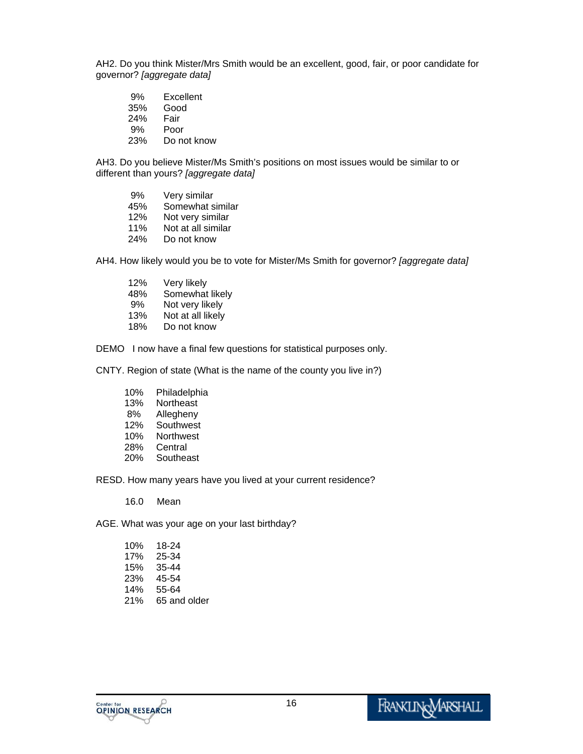AH2. Do you think Mister/Mrs Smith would be an excellent, good, fair, or poor candidate for governor? *[aggregate data]*

- 9% Excellent
- 35% Good
- 24% Fair
- 9% Poor
- 23% Do not know

AH3. Do you believe Mister/Ms Smith's positions on most issues would be similar to or different than yours? *[aggregate data]*

- 9% Very similar 45% Somewhat similar
- 12% Not very similar
- 11% Not at all similar
- 24% Do not know

AH4. How likely would you be to vote for Mister/Ms Smith for governor? *[aggregate data]*

- 12% Very likely
- 48% Somewhat likely
- 9% Not very likely
- 13% Not at all likely
- 18% Do not know

DEMO I now have a final few questions for statistical purposes only.

CNTY. Region of state (What is the name of the county you live in?)

- 10% Philadelphia
- 13% Northeast
- 8% Allegheny
- 12% Southwest
- 10% Northwest
- 28% Central
- 20% Southeast

RESD. How many years have you lived at your current residence?

16.0 Mean

AGE. What was your age on your last birthday?

| 10% | 18-24        |
|-----|--------------|
| 17% | 25-34        |
| 15% | 35-44        |
| 23% | 45-54        |
| 14% | 55-64        |
| 21% | 65 and older |

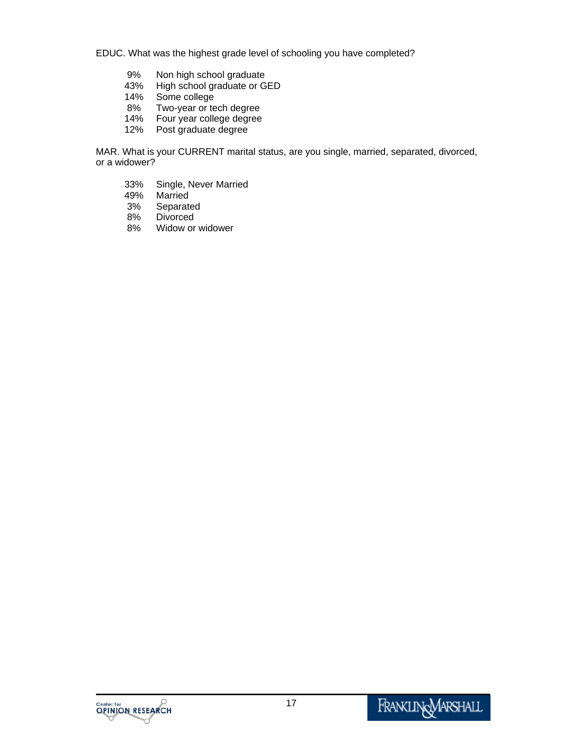EDUC. What was the highest grade level of schooling you have completed?

- 9% Non high school graduate<br>43% High school graduate or G
- 43% High school graduate or GED
- Some college
- 8% Two-year or tech degree
- 14% Four year college degree<br>12% Post graduate degree
- Post graduate degree

MAR. What is your CURRENT marital status, are you single, married, separated, divorced, or a widower?

- 33% Single, Never Married
- Married
- 3% Separated
- 8% Divorced<br>8% Widow or
- Widow or widower

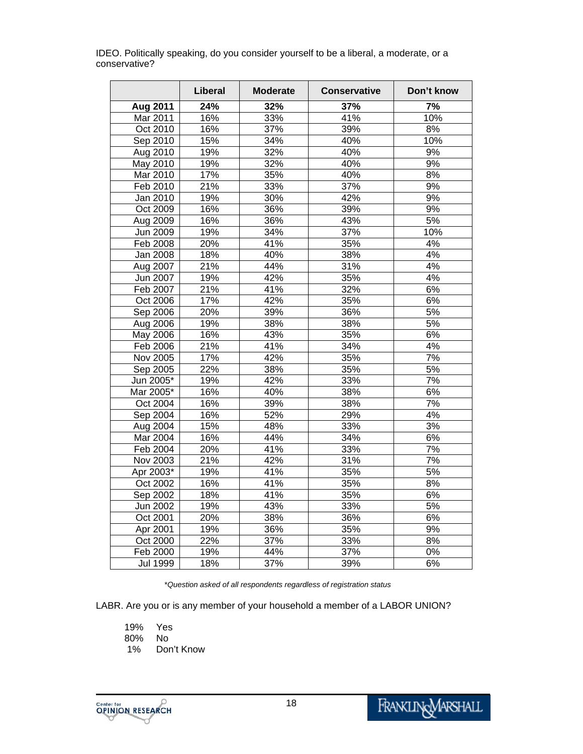|                 | Liberal | <b>Moderate</b> | <b>Conservative</b> | Don't know       |
|-----------------|---------|-----------------|---------------------|------------------|
| Aug 2011        | 24%     | 32%             | 37%                 | 7%               |
| Mar 2011        | 16%     | 33%             | 41%                 | 10%              |
| Oct 2010        | 16%     | 37%             | 39%                 | 8%               |
| Sep 2010        | 15%     | 34%             | 40%                 | 10%              |
| Aug 2010        | 19%     | 32%             | 40%                 | 9%               |
| May 2010        | 19%     | 32%             | 40%                 | 9%               |
| Mar 2010        | 17%     | 35%             | 40%                 | 8%               |
| Feb 2010        | 21%     | 33%             | 37%                 | 9%               |
| Jan 2010        | 19%     | 30%             | 42%                 | 9%               |
| Oct 2009        | 16%     | 36%             | 39%                 | 9%               |
| Aug 2009        | 16%     | 36%             | 43%                 | 5%               |
| Jun 2009        | 19%     | 34%             | 37%                 | 10%              |
| Feb 2008        | 20%     | 41%             | 35%                 | 4%               |
| <b>Jan 2008</b> | 18%     | 40%             | 38%                 | 4%               |
| Aug 2007        | 21%     | 44%             | 31%                 | 4%               |
| Jun 2007        | 19%     | 42%             | 35%                 | 4%               |
| Feb 2007        | 21%     | 41%             | 32%                 | 6%               |
| Oct 2006        | 17%     | 42%             | 35%                 | 6%               |
| Sep 2006        | 20%     | 39%             | 36%                 | 5%               |
| Aug 2006        | 19%     | 38%             | 38%                 | 5%               |
| May 2006        | 16%     | 43%             | 35%                 | 6%               |
| Feb 2006        | 21%     | 41%             | 34%                 | 4%               |
| Nov 2005        | 17%     | 42%             | 35%                 | $\overline{7\%}$ |
| Sep 2005        | 22%     | 38%             | 35%                 | 5%               |
| Jun 2005*       | 19%     | 42%             | 33%                 | 7%               |
| Mar 2005*       | 16%     | 40%             | 38%                 | 6%               |
| Oct 2004        | 16%     | 39%             | 38%                 | $\overline{7\%}$ |
| Sep 2004        | 16%     | 52%             | 29%                 | 4%               |
| Aug 2004        | 15%     | 48%             | 33%                 | 3%               |
| Mar 2004        | 16%     | 44%             | 34%                 | 6%               |
| Feb 2004        | 20%     | 41%             | 33%                 | $\overline{7\%}$ |
| Nov 2003        | 21%     | 42%             | 31%                 | 7%               |
| Apr 2003*       | 19%     | 41%             | 35%                 | 5%               |
| Oct 2002        | 16%     | 41%             | 35%                 | 8%               |
| Sep 2002        | 18%     | 41%             | 35%                 | 6%               |
| Jun 2002        | 19%     | 43%             | 33%                 | 5%               |
| Oct 2001        | 20%     | 38%             | 36%                 | 6%               |
| Apr 2001        | 19%     | 36%             | 35%                 | 9%               |
| Oct 2000        | 22%     | 37%             | 33%                 | 8%               |
| Feb 2000        | 19%     | 44%             | 37%                 | $0\%$            |
| <b>Jul 1999</b> | 18%     | 37%             | 39%                 | 6%               |

IDEO. Politically speaking, do you consider yourself to be a liberal, a moderate, or a conservative?

\**Question asked of all respondents regardless of registration status*

LABR. Are you or is any member of your household a member of a LABOR UNION?

19% Yes 80% No Don't Know

18

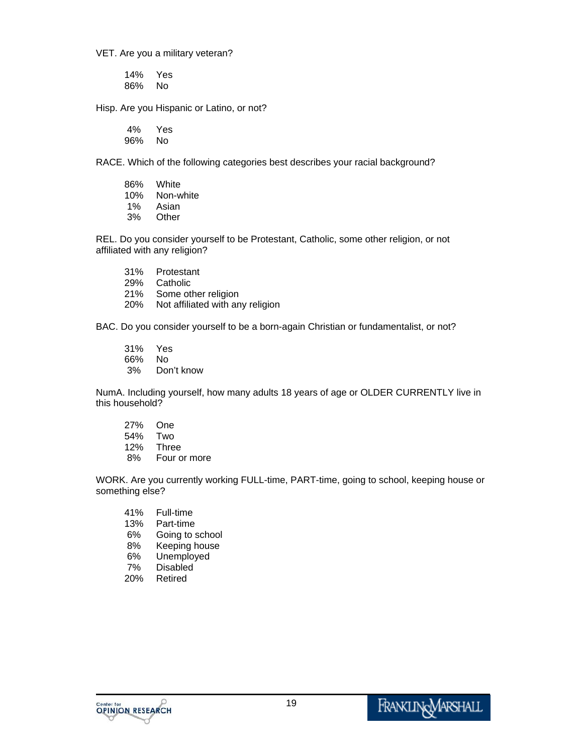VET. Are you a military veteran?

14% Yes 86% No

Hisp. Are you Hispanic or Latino, or not?

4% Yes 96% No

RACE. Which of the following categories best describes your racial background?

| 86%   | White     |
|-------|-----------|
| 10%   | Non-white |
| $1\%$ | Asian     |
| 3%    | Other     |

REL. Do you consider yourself to be Protestant, Catholic, some other religion, or not affiliated with any religion?

- 31% Protestant
- 29% Catholic
- 21% Some other religion
- 20% Not affiliated with any religion

BAC. Do you consider yourself to be a born-again Christian or fundamentalist, or not?

- 31% Yes
- 66% No
- 3% Don't know

NumA. Including yourself, how many adults 18 years of age or OLDER CURRENTLY live in this household?

27% One 54% Two 12% Three 8% Four or more

WORK. Are you currently working FULL-time, PART-time, going to school, keeping house or something else?

- 41% Full-time Part-time 6% Going to school 8% Keeping house 6% Unemployed 7% Disabled
- 20% Retired